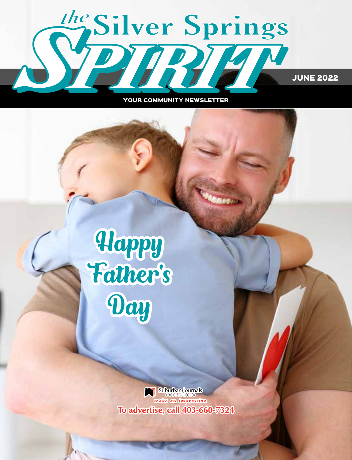

YOUR COMMUNITY NEWSLETTER

# Happy Father's Day

Suburban Journals<br>make an impression To advertise, call 403-660-7324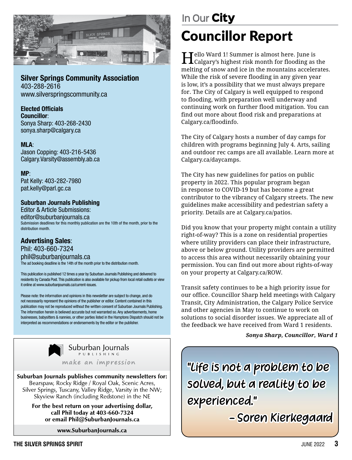

#### Silver Springs Community Association 403-288-2616

www.silverspringscommunity.ca

#### Elected Officials

Councillor: Sonya Sharp: 403-268-2430 sonya.sharp@calgary.ca

#### MLA:

Jason Copping: 403-216-5436 Calgary.Varsity@assembly.ab.ca

MP: Pat Kelly: 403-282-7980 pat.kelly@parl.gc.ca

#### Suburban Journals Publishing

Editor & Article Submissions: editor@suburbanjournals.ca Submission deadlines for this monthly publication are the 10th of the month, prior to the distribution month.

#### Advertising Sales:

Phil: 403-660-7324 phil@suburbanjournals.ca The ad booking deadline is the 14th of the month prior to the distribution month.

This publication is published 12 times a year by Suburban Journals Publishing and delivered to residents by Canada Post. This publication is also available for pickup from local retail outlets or view it online at www.suburbanjournals.ca/current-issues.

Please note: the information and opinions in this newsletter are subject to change, and do not necessarily represent the opinions of the publisher or editor. Content contained in this publication may not be reproduced without the written consent of Suburban Journals Publishing. The information herein is believed accurate but not warranted so. Any advertisements, home businesses, babysitters & nannies, or other parties listed in the Hamptons Dispatch should not be interpreted as recommendations or endorsements by the editor or the publisher.



Suburban Journals PUBLISHING

make an impression

Suburban Journals publishes community newsletters for: Bearspaw, Rocky Ridge / Royal Oak, Scenic Acres, Silver Springs, Tuscany, Valley Ridge, Varsity in the NW; Skyview Ranch (including Redstone) in the NE

> For the best return on your advertising dollar, call Phil today at 403-660-7324 or email Phil@SuburbanJournals.ca

> > www.SuburbanJournals.ca

# Councillor Report **In Our** City

Hello Ward 1! Summer is almost here. June is Calgary's highest risk month for flooding as the melting of snow and ice in the mountains accelerates. While the risk of severe flooding in any given year is low, it's a possibility that we must always prepare for. The City of Calgary is well equipped to respond to flooding, with preparation well underway and continuing work on further flood mitigation. You can find out more about flood risk and preparations at Calgary.ca/floodinfo.

The City of Calgary hosts a number of day camps for children with programs beginning July 4. Arts, sailing and outdoor rec camps are all available. Learn more at Calgary.ca/daycamps.

The City has new guidelines for patios on public property in 2022. This popular program began in response to COVID-19 but has become a great contributor to the vibrancy of Calgary streets. The new guidelines make accessibility and pedestrian safety a priority. Details are at Calgary.ca/patios.

Did you know that your property might contain a utility right-of-way? This is a zone on residential properties where utility providers can place their infrastructure, above or below ground. Utility providers are permitted to access this area without necessarily obtaining your permission. You can find out more about rights-of-way on your property at Calgary.ca/ROW.

Transit safety continues to be a high priority issue for our office. Councillor Sharp held meetings with Calgary Transit, City Administration, the Calgary Police Service and other agencies in May to continue to work on solutions to social disorder issues. We appreciate all of the feedback we have received from Ward 1 residents.

#### *Sonya Sharp, Councillor, Ward 1*

"Life is not a problem to be solved, but a reality to be experienced."

- Soren Kierkegaard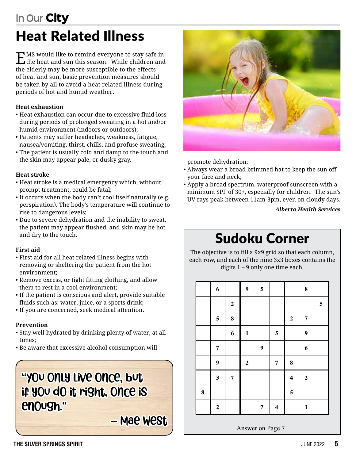### Heat Related Illness **In Our** City

EMS would like to remind everyone to stay safe in the heat and sun this season. While children and the elderly may be more susceptible to the effects of heat and sun, basic prevention measures should be taken by all to avoid a heat related illness during periods of hot and humid weather.

#### **Heat exhaustion**

- Heat exhaustion can occur due to excessive fluid loss during periods of prolonged sweating in a hot and/or humid environment (indoors or outdoors);
- Patients may suffer headaches, weakness, fatigue, nausea/vomiting, thirst, chills, and profuse sweating;
- The patient is usually cold and damp to the touch and the skin may appear pale, or dusky gray.

#### **Heat stroke**

- Heat stroke is a medical emergency which, without prompt treatment, could be fatal;
- It occurs when the body can't cool itself naturally (e.g. perspiration). The body's temperature will continue to rise to dangerous levels;
- Due to severe dehydration and the inability to sweat, the patient may appear flushed, and skin may be hot and dry to the touch.

#### **First aid**

- First aid for all heat related illness begins with removing or sheltering the patient from the hot environment;
- Remove excess, or tight fitting clothing, and allow them to rest in a cool environment;
- If the patient is conscious and alert, provide suitable fluids such as: water, juice, or a sports drink;
- If you are concerned, seek medical attention.

#### **Prevention**

- Stay well-hydrated by drinking plenty of water, at all times;
- Be aware that excessive alcohol consumption will

### "You only live once, but if you do it right, once is enough."

– Mae West



promote dehydration;

- Always wear a broad brimmed hat to keep the sun off your face and neck;
- Apply a broad spectrum, waterproof sunscreen with a minimum SPF of 30+, especially for children. The sun's UV rays peak between 11am-3pm, even on cloudy days.

*Alberta Health Services*

# Sudoku Corner

The objective is to fill a 9x9 grid so that each column, each row, and each of the nine 3x3 boxes contains the digits 1 – 9 only one time each. **Puzzle 17 (Hard, difficulty rating 0.61)**

|         | $\boldsymbol{6}$        |                  | $\boldsymbol{9}$ | $\overline{\mathbf{5}}$ |                         |                         | ${\bf 8}$        |                         |
|---------|-------------------------|------------------|------------------|-------------------------|-------------------------|-------------------------|------------------|-------------------------|
|         |                         | $\bf 2$          |                  |                         |                         |                         |                  | $\overline{\mathbf{5}}$ |
|         | $\overline{\mathbf{5}}$ | ${\bf 8}$        |                  |                         |                         | $\boldsymbol{2}$        | 7                |                         |
|         |                         | $\boldsymbol{6}$ | $\mathbf 1$      |                         | $\sqrt{5}$              |                         | $\boldsymbol{9}$ |                         |
|         | $\overline{7}$          |                  |                  | $\boldsymbol{9}$        |                         |                         | 6                |                         |
|         | 9                       |                  | $\mathbf 2$      |                         | $\pmb{7}$               | $\bf 8$                 |                  |                         |
|         | $\mathbf{3}$            | $\boldsymbol{7}$ |                  |                         |                         | $\overline{\mathbf{4}}$ | $\mathbf 2$      |                         |
| $\bf 8$ |                         |                  |                  |                         |                         | $\overline{\mathbf{5}}$ |                  |                         |
|         | $\bf 2$                 |                  |                  | $\overline{7}$          | $\overline{\mathbf{4}}$ |                         | $\mathbf 1$      |                         |

**Communist Communist Page 7**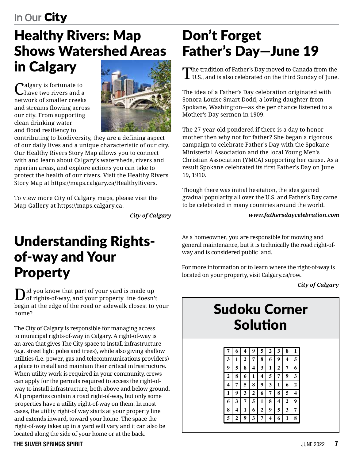# Healthy Rivers: Map Shows Watershed Areas in Calgary

algary is fortunate to have two rivers and a network of smaller creeks and streams flowing across our city. From supporting clean drinking water and flood resiliency to



contributing to biodiversity, they are a defining aspect of our daily lives and a unique characteristic of our city. Our Healthy Rivers Story Map allows you to connect with and learn about Calgary's watersheds, rivers and riparian areas, and explore actions you can take to protect the health of our rivers. Visit the Healthy Rivers Story Map at https://maps.calgary.ca/HealthyRivers.

To view more City of Calgary maps, please visit the Map Gallery at https://maps.calgary.ca.

*City of Calgary*

### Don't Forget Father's Day—June 19

The tradition of Father's Day moved to Canada from the U.S., and is also celebrated on the third Sunday of June.

The idea of a Father's Day celebration originated with Sonora Louise Smart Dodd, a loving daughter from Spokane, Washington—as she per chance listened to a Mother's Day sermon in 1909.

The 27-year-old pondered if there is a day to honor mother then why not for father? She began a rigorous campaign to celebrate Father's Day with the Spokane Ministerial Association and the local Young Men's Christian Association (YMCA) supporting her cause. As a result Spokane celebrated its first Father's Day on June 19, 1910.

Though there was initial hesitation, the idea gained gradual popularity all over the U.S. and Father's Day came to be celebrated in many countries around the world.

*www.fathersdaycelebration.com*

### Understanding Rightsof-way and Your Property **Puzzle 13 (Medium, difficulty rating 0.46)**

**3**  $\int_{0}^{1}$  of rights-of-way, and your property line doesn't of rights-of-way, and your property line doesn't **4 7 5 6 1 2 9 3 8** begin at the edge of the road or sidewalk closest to your **1 2 6 8 3 9 4 7 5** home? **7 1 3 5 4 8 6 9 2**

The City of Calgary is responsible for managing access **2 6 4 1 9 3 8 5 7** to municipal rights-of-way in Calgary. A right-of-way is an area that gives The City space to install infrastructure **Pulled** (e.g. street light poles and trees), while also giving shallow **8 4 7 6 2 1 5 9 3** utilities (i.e. power, gas and telecommunications providers) **1 3 6 7 5 9 4 8 2** a place to install and maintain their critical infrastructure. **2 9 5 4 3 8 7 1 6** When utility work is required in your community, crews **6 7 3 1 9 2 8 4 5** can apply for the permits required to access the right-ofway to install infrastructure, both above and below ground. **5 8 9 3 4 6 1 2 7** All properties contain a road right-of-way, but only some **4 1 2 5 8 7 6 3 9** properties have a utility right-of-way on them. In most **7 5 8 9 1 3 2 6 4** cases, the utility right-of way starts at your property line **9 6 1 2 7 4 3 5 8** and extends inward, toward your home. The space the **3 2 4 8 6 5 9 7 1** right-of-way takes up in a yard will vary and it can also be located along the side of your home or at the back. **9 5 8 7 2 6 1 4 3**

As a homeowner, you are responsible for mowing and general maintenance, but it is technically the road right-ofway and is considered public land. **Puzzle 14 (Easy, difficulty rating 0.42)**

For more information or to learn where the right-of-way is located on your property, visit Calgary.ca/row. **8 4 1 2 5 7 3 6 9 1 4 9 3 5 6 8 2 7 1 3 9 4 8 7 2 5 6**

*City of Calgary* **6 4 8 3 2 5 7 1 9 8 6 4 2 5 3 1 9 7**

> **1 3 6 4 9 5 2 8 9 2 1 7 8 3 6 4 5 6 7 1 4 8 3 2 8 7 5 9 2 6 4 1 2 1 8 3 6 9 7 5**

#### Sudoku Corner **4 5 7 1 8 2 9 3 6** Solution **8 7 5 6 3 9 2 4 1 9 2 8 7 6 3 4 1 5 6 9 3 2 4 1 5 7 8 2 1 4 8 7 5 3 6 9**

| 7                       | 6                | 4            | 9                | 5                | $\boldsymbol{2}$ | 3                | 8            | 1                |
|-------------------------|------------------|--------------|------------------|------------------|------------------|------------------|--------------|------------------|
| 3                       | 1                | $\mathbf{2}$ | 7                | 8                | 6                | 9                | 4            | 5                |
| 9                       | 5                | 8            | 4                | 3                | 1                | $\boldsymbol{2}$ | 7            | 6                |
| $\overline{2}$          | 8                | 6            | 1                | 4                | 5                | 7                | 9            | 3                |
| $\overline{\mathbf{4}}$ | 7                | 5            | 8                | 9                | 3                | 1                | 6            | $\boldsymbol{2}$ |
| 1                       | 9                | 3            | $\boldsymbol{2}$ | 6                | 7                | 8                | 5            | 4                |
| 6                       | 3                | 7            | 5                | 1                | 8                | 4                | $\mathbf{2}$ | 9                |
| 8                       | 4                | 1            | 6                | $\boldsymbol{2}$ | 9                | 5                | 3            | 7                |
| 5                       | $\boldsymbol{2}$ | 9            | 3                | 7                | 4                | 6                | 1            | 8                |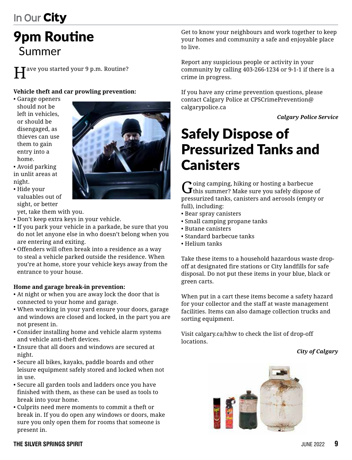# 9pm Routine Summer

Tave you started your 9 p.m. Routine?

#### **Vehicle theft and car prowling prevention:**

- Garage openers should not be left in vehicles, or should be disengaged, as thieves can use them to gain entry into a home.
- Avoid parking in unlit areas at night.
- Hide your valuables out of sight, or better

yet, take them with you.

- Don't keep extra keys in your vehicle.
- If you park your vehicle in a parkade, be sure that you do not let anyone else in who doesn't belong when you are entering and exiting.
- Offenders will often break into a residence as a way to steal a vehicle parked outside the residence. When you're at home, store your vehicle keys away from the entrance to your house.

#### **Home and garage break-in prevention:**

- At night or when you are away lock the door that is connected to your home and garage.
- When working in your yard ensure your doors, garage and windows are closed and locked, in the part you are not present in.
- Consider installing home and vehicle alarm systems and vehicle anti-theft devices.
- Ensure that all doors and windows are secured at night.
- Secure all bikes, kayaks, paddle boards and other leisure equipment safely stored and locked when not in use.
- Secure all garden tools and ladders once you have finished with them, as these can be used as tools to break into your home.
- Culprits need mere moments to commit a theft or break in. If you do open any windows or doors, make sure you only open them for rooms that someone is present in.



Report any suspicious people or activity in your community by calling 403-266-1234 or 9-1-1 if there is a crime in progress.

If you have any crime prevention questions, please contact Calgary Police at CPSCrimePrevention@ calgarypolice.ca

*Calgary Police Service*

### Safely Dispose of Pressurized Tanks and **Canisters**

 $G$  oing camping, hiking or hosting a barbecue of this summer? Make sure you safely dispose of pressurized tanks, canisters and aerosols (empty or full), including:

- Bear spray canisters
- Small camping propane tanks
- Butane canisters
- Standard barbecue tanks
- Helium tanks

Take these items to a household hazardous waste dropoff at designated fire stations or City landfills for safe disposal. Do not put these items in your blue, black or green carts.

When put in a cart these items become a safety hazard for your collector and the staff at waste management facilities. Items can also damage collection trucks and sorting equipment.

Visit calgary.ca/hhw to check the list of drop-off locations.

*City of Calgary*



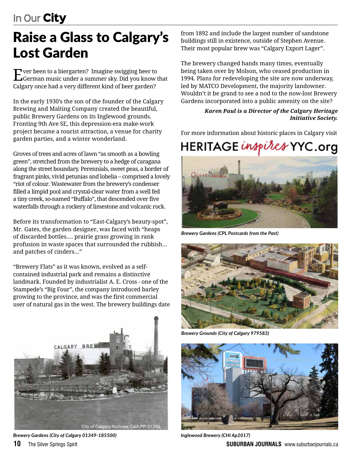# Raise a Glass to Calgary's Lost Garden

Ever been to a biergarten? Imagine swigging beer to German music under a summer sky. Did you know that Calgary once had a very different kind of beer garden?

In the early 1930's the son of the founder of the Calgary Brewing and Malting Company created the beautiful, public Brewery Gardens on its Inglewood grounds. Fronting 9th Ave SE, this depression-era make-work project became a tourist attraction, a venue for charity garden parties, and a winter wonderland.

Groves of trees and acres of lawn "as smooth as a bowling green", stretched from the brewery to a hedge of caragana along the street boundary. Perennials, sweet peas, a border of fragrant pinks, vivid petunias and lobelia – comprised a lovely "riot of colour. Wastewater from the brewery's condenser filled a limpid pool and crystal-clear water from a well fed a tiny creek, so-named "Buffalo", that descended over five waterfalls through a rockery of limestone and volcanic rock.

Before its transformation to "East-Calgary's beauty-spot", Mr. Gates, the garden designer, was faced with "heaps of discarded bottles.... prairie grass growing in rank profusion in waste spaces that surrounded the rubbish... and patches of cinders..."

"Brewery Flats" as it was known, evolved as a selfcontained industrial park and remains a distinctive landmark. Founded by industrialist A. E. Cross - one of the Stampede's "Big Four", the company introduced barley growing to the province, and was the first commercial user of natural gas in the west. The brewery buildings date



*Brewery Gardens (City of Calgary 01349-185500)*

from 1892 and include the largest number of sandstone buildings still in existence, outside of Stephen Avenue. Their most popular brew was "Calgary Export Lager".

The brewery changed hands many times, eventually being taken over by Molson, who ceased production in 1994. Plans for redeveloping the site are now underway, led by MATCO Development, the majority landowner. Wouldn't it be grand to see a nod to the now-lost Brewery Gardens incorporated into a public amenity on the site?

#### *Karen Paul is a Director of the Calgary Heritage Initiative Society.*

For more information about historic places in Calgary visit

### HERITAGE inspires YYC.org



*Brewery Gardens (CPL Postcards from the Past)* 



*Brewery Grounds (City of Calgary 979583)*



**10** The Silver Springs Spirit **SUBURBAN SUBURBAN JOURNALS** www.suburbanjournals.ca *Inglewood Brewery (CHI Ap2017)*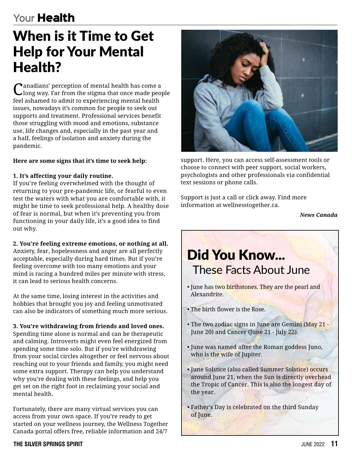### **Your** Health

### When is it Time to Get Help for Your Mental Health?

Canadians' perception of mental health has come a clong way. Far from the stigma that once made people feel ashamed to admit to experiencing mental health issues, nowadays it's common for people to seek out supports and treatment. Professional services benefit those struggling with mood and emotions, substance use, life changes and, especially in the past year and a half, feelings of isolation and anxiety during the pandemic.

#### **Here are some signs that it's time to seek help:**

#### **1. It's affecting your daily routine.**

If you're feeling overwhelmed with the thought of returning to your pre-pandemic life, or fearful to even test the waters with what you are comfortable with, it might be time to seek professional help. A healthy dose of fear is normal, but when it's preventing you from functioning in your daily life, it's a good idea to find out why.

**2. You're feeling extreme emotions, or nothing at all.**

Anxiety, fear, hopelessness and anger are all perfectly acceptable, especially during hard times. But if you're feeling overcome with too many emotions and your mind is racing a hundred miles per minute with stress, it can lead to serious health concerns.

At the same time, losing interest in the activities and hobbies that brought you joy and feeling unmotivated can also be indicators of something much more serious.

#### **3. You're withdrawing from friends and loved ones.**

Spending time alone is normal and can be therapeutic and calming. Introverts might even feel energized from spending some time solo. But if you're withdrawing from your social circles altogether or feel nervous about reaching out to your friends and family, you might need some extra support. Therapy can help you understand why you're dealing with these feelings, and help you get set on the right foot in reclaiming your social and mental health.

Fortunately, there are many virtual services you can access from your own space. If you're ready to get started on your wellness journey, the Wellness Together Canada portal offers free, reliable information and 24/7



support. Here, you can access self-assessment tools or choose to connect with peer support, social workers, psychologists and other professionals via confidential text sessions or phone calls.

Support is just a call or click away. Find more information at wellnesstogether.ca.

*News Canada*

### Did You Know... These Facts About June • June has two birthstones. They are the pearl and Alexandrite. • The birth flower is the Rose. • The two zodiac signs in June are Gemini (May 21 - June 20) and Cancer (June 21 - July 22). • June was named after the Roman goddess Juno, who is the wife of Jupiter. • June Solstice (also called Summer Solstice) occurs around June 21, when the Sun is directly overhead the Tropic of Cancer. This is also the longest day of the year.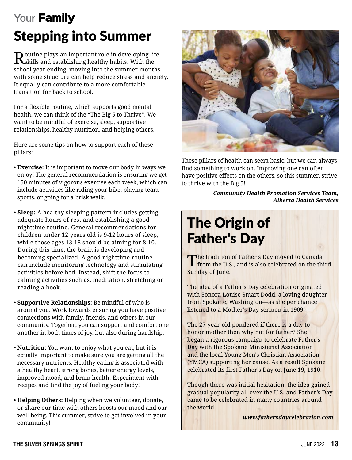### **Your** Family

# Stepping into Summer

Routine plays an important role in developing life<br>Reskills and establishing healthy habits. With the school year ending, moving into the summer months with some structure can help reduce stress and anxiety. It equally can contribute to a more comfortable transition for back to school.

For a flexible routine, which supports good mental health, we can think of the "The Big 5 to Thrive". We want to be mindful of exercise, sleep, supportive relationships, healthy nutrition, and helping others.

Here are some tips on how to support each of these pillars:

- **Exercise:** It is important to move our body in ways we enjoy! The general recommendation is ensuring we get 150 minutes of vigorous exercise each week, which can include activities like riding your bike, playing team sports, or going for a brisk walk.
- **Sleep:** A healthy sleeping pattern includes getting adequate hours of rest and establishing a good nighttime routine. General recommendations for children under 12 years old is 9-12 hours of sleep, while those ages 13-18 should be aiming for 8-10. During this time, the brain is developing and becoming specialized. A good nighttime routine can include monitoring technology and stimulating activities before bed. Instead, shift the focus to calming activities such as, meditation, stretching or reading a book.
- **Supportive Relationships:** Be mindful of who is around you. Work towards ensuring you have positive connections with family, friends, and others in our community. Together, you can support and comfort one another in both times of joy, but also during hardship.
- **Nutrition:** You want to enjoy what you eat, but it is equally important to make sure you are getting all the necessary nutrients. Healthy eating is associated with a healthy heart, strong bones, better energy levels, improved mood, and brain health. Experiment with recipes and find the joy of fueling your body!
- **Helping Others:** Helping when we volunteer, donate, or share our time with others boosts our mood and our well-being. This summer, strive to get involved in your community!



These pillars of health can seem basic, but we can always find something to work on. Improving one can often have positive effects on the others, so this summer, strive to thrive with the Big 5!

> *Community Health Promotion Services Team, Alberta Health Services*

# The Origin of Father's Day

The tradition of Father's Day moved to Canada<br>I from the U.S., and is also celebrated on the third Sunday of June.

The idea of a Father's Day celebration originated with Sonora Louise Smart Dodd, a loving daughter from Spokane, Washington—as she per chance listened to a Mother's Day sermon in 1909.

The 27-year-old pondered if there is a day to honor mother then why not for father? She began a rigorous campaign to celebrate Father's Day with the Spokane Ministerial Association and the local Young Men's Christian Association (YMCA) supporting her cause. As a result Spokane celebrated its first Father's Day on June 19, 1910.

Though there was initial hesitation, the idea gained gradual popularity all over the U.S. and Father's Day came to be celebrated in many countries around the world.

*www.fathersdaycelebration.com*